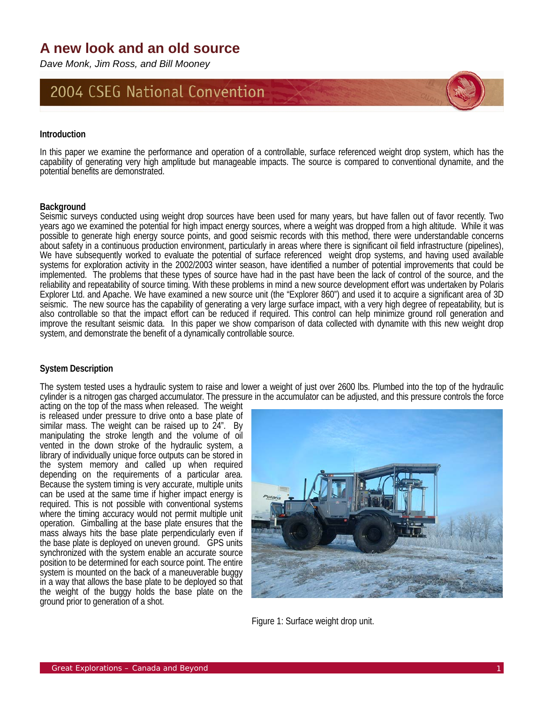## **A new look and an old source**

*Dave Monk, Jim Ross, and Bill Mooney* 

# 2004 CSEG National Convention

#### **Introduction**

In this paper we examine the performance and operation of a controllable, surface referenced weight drop system, which has the capability of generating very high amplitude but manageable impacts. The source is compared to conventional dynamite, and the potential benefits are demonstrated.

#### **Background**

Seismic surveys conducted using weight drop sources have been used for many years, but have fallen out of favor recently. Two years ago we examined the potential for high impact energy sources, where a weight was dropped from a high altitude. While it was possible to generate high energy source points, and good seismic records with this method, there were understandable concerns about safety in a continuous production environment, particularly in areas where there is significant oil field infrastructure (pipelines), We have subsequently worked to evaluate the potential of surface referenced weight drop systems, and having used available systems for exploration activity in the 2002/2003 winter season, have identified a number of potential improvements that could be implemented. The problems that these types of source have had in the past have been the lack of control of the source, and the reliability and repeatability of source timing. With these problems in mind a new source development effort was undertaken by Polaris Explorer Ltd. and Apache. We have examined a new source unit (the "Explorer 860") and used it to acquire a significant area of 3D seismic. The new source has the capability of generating a very large surface impact, with a very high degree of repeatability, but is also controllable so that the impact effort can be reduced if required. This control can help minimize ground roll generation and improve the resultant seismic data. In this paper we show comparison of data collected with dynamite with this new weight drop system, and demonstrate the benefit of a dynamically controllable source.

### **System Description**

The system tested uses a hydraulic system to raise and lower a weight of just over 2600 lbs. Plumbed into the top of the hydraulic cylinder is a nitrogen gas charged accumulator. The pressure in the accumulator can be adjusted, and this pressure controls the force

acting on the top of the mass when released. The weight is released under pressure to drive onto a base plate of similar mass. The weight can be raised up to 24". By manipulating the stroke length and the volume of oil vented in the down stroke of the hydraulic system, a library of individually unique force outputs can be stored in the system memory and called up when required depending on the requirements of a particular area. Because the system timing is very accurate, multiple units can be used at the same time if higher impact energy is required. This is not possible with conventional systems where the timing accuracy would not permit multiple unit operation. Gimballing at the base plate ensures that the mass always hits the base plate perpendicularly even if the base plate is deployed on uneven ground. GPS units synchronized with the system enable an accurate source position to be determined for each source point. The entire system is mounted on the back of a maneuverable buggy in a way that allows the base plate to be deployed so that the weight of the buggy holds the base plate on the ground prior to generation of a shot.



Figure 1: Surface weight drop unit.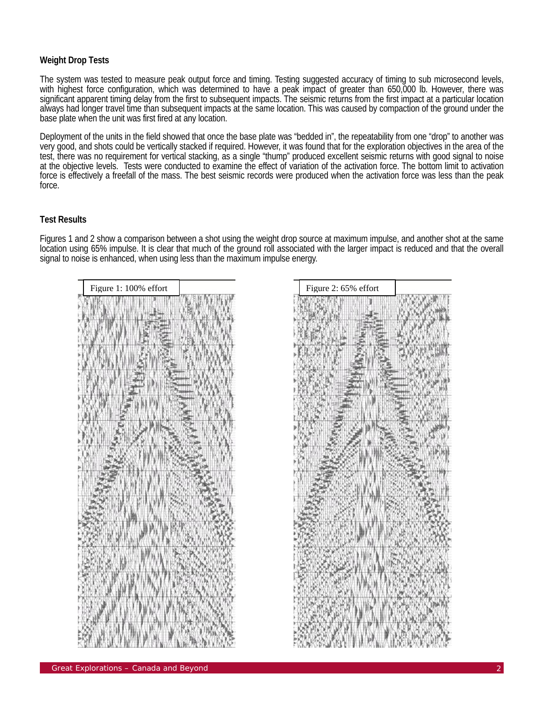#### **Weight Drop Tests**

The system was tested to measure peak output force and timing. Testing suggested accuracy of timing to sub microsecond levels, with highest force configuration, which was determined to have a peak impact of greater than 650,000 lb. However, there was significant apparent timing delay from the first to subsequent impacts. The seismic returns from the first impact at a particular location always had longer travel time than subsequent impacts at the same location. This was caused by compaction of the ground under the base plate when the unit was first fired at any location.

Deployment of the units in the field showed that once the base plate was "bedded in", the repeatability from one "drop" to another was very good, and shots could be vertically stacked if required. However, it was found that for the exploration objectives in the area of the test, there was no requirement for vertical stacking, as a single "thump" produced excellent seismic returns with good signal to noise at the objective levels. Tests were conducted to examine the effect of variation of the activation force. The bottom limit to activation force is effectively a freefall of the mass. The best seismic records were produced when the activation force was less than the peak force.

#### **Test Results**

Figures 1 and 2 show a comparison between a shot using the weight drop source at maximum impulse, and another shot at the same location using 65% impulse. It is clear that much of the ground roll associated with the larger impact is reduced and that the overall signal to noise is enhanced, when using less than the maximum impulse energy.



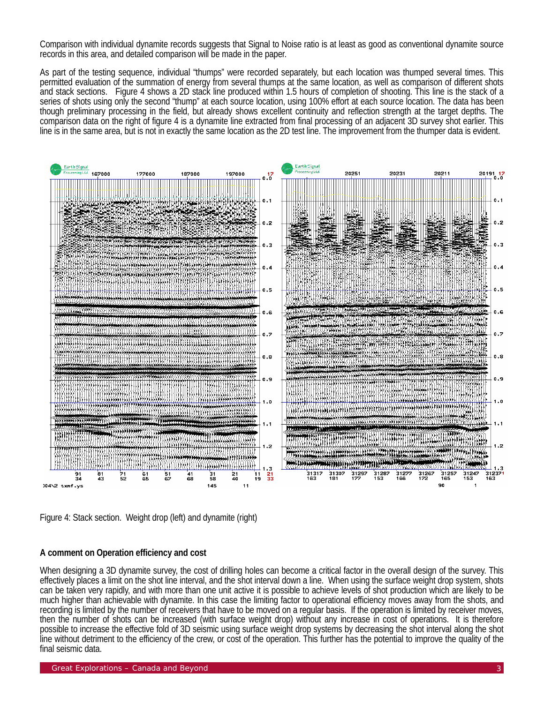Comparison with individual dynamite records suggests that Signal to Noise ratio is at least as good as conventional dynamite source records in this area, and detailed comparison will be made in the paper.

As part of the testing sequence, individual "thumps" were recorded separately, but each location was thumped several times. This permitted evaluation of the summation of energy from several thumps at the same location, as well as comparison of different shots and stack sections. Figure 4 shows a 2D stack line produced within 1.5 hours of completion of shooting. This line is the stack of a series of shots using only the second "thump" at each source location, using 100% effort at each source location. The data has been though preliminary processing in the field, but already shows excellent continuity and reflection strength at the target depths. The comparison data on the right of figure 4 is a dynamite line extracted from final processing of an adjacent 3D survey shot earlier. This line is in the same area, but is not in exactly the same location as the 2D test line. The improvement from the thumper data is evident.



Figure 4: Stack section. Weight drop (left) and dynamite (right)

### **A comment on Operation efficiency and cost**

When designing a 3D dynamite survey, the cost of drilling holes can become a critical factor in the overall design of the survey. This effectively places a limit on the shot line interval, and the shot interval down a line. When using the surface weight drop system, shots can be taken very rapidly, and with more than one unit active it is possible to achieve levels of shot production which are likely to be much higher than achievable with dynamite. In this case the limiting factor to operational efficiency moves away from the shots, and recording is limited by the number of receivers that have to be moved on a regular basis. If the operation is limited by receiver moves, then the number of shots can be increased (with surface weight drop) without any increase in cost of operations. It is therefore possible to increase the effective fold of 3D seismic using surface weight drop systems by decreasing the shot interval along the shot line without detriment to the efficiency of the crew, or cost of the operation. This further has the potential to improve the quality of the final seismic data.